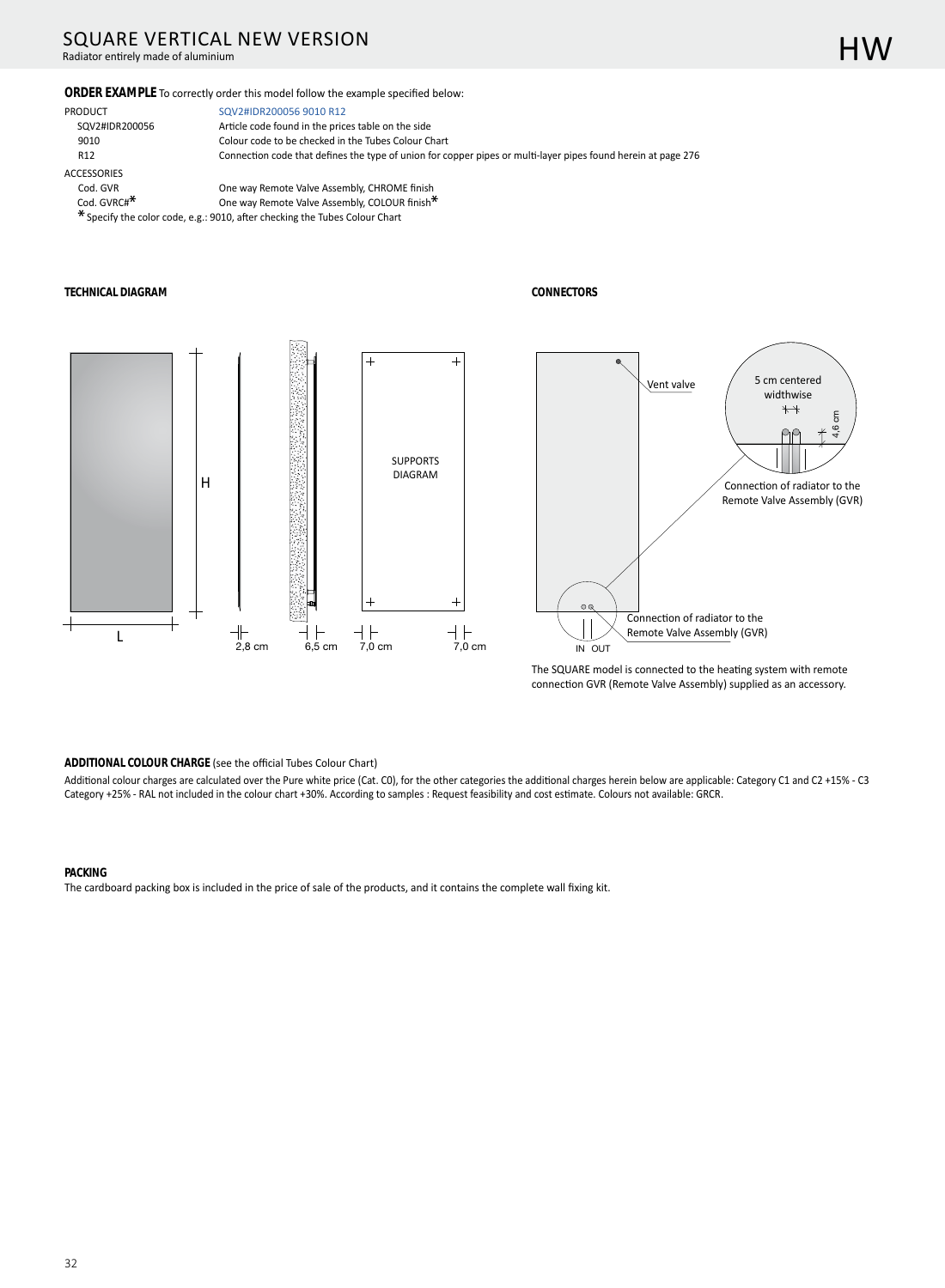# SQUARE VERTICAL NEW VERSION

Radiator entirely made of aluminium

#### ORDER EXAMPLE To correctly order this model follow the example specified below:

PRODUCT SQV2#IDR200056 9010 R12 **ACCESSORIES** Cod. GVR Cod. GVRC#<sup>\*</sup>

SQV2#IDR200056 9010 R12 Article code found in the prices table on the side Colour code to be checked in the Tubes Colour Chart Connection code that defines the type of union for copper pipes or multi-layer pipes found herein at page 276

One way Remote Valve Assembly, CHROME finish One way Remote Valve Assembly, COLOUR finish\*

\* Specify the color code, e.g.: 9010, after checking the Tubes Colour Chart

#### **TECHNICAL DIAGRAM**







The SQUARE model is connected to the heating system with remote connection GVR (Remote Valve Assembly) supplied as an accessory.

#### ADDITIONAL COLOUR CHARGE (see the official Tubes Colour Chart)

Additional colour charges are calculated over the Pure white price (Cat. C0), for the other categories the additional charges herein below are applicable: Category C1 and C2 +15% - C3 Category +25% - RAL not included in the colour chart +30%. According to samples : Request feasibility and cost estimate. Colours not available: GRCR.

#### **PACKING**

The cardboard packing box is included in the price of sale of the products, and it contains the complete wall fixing kit.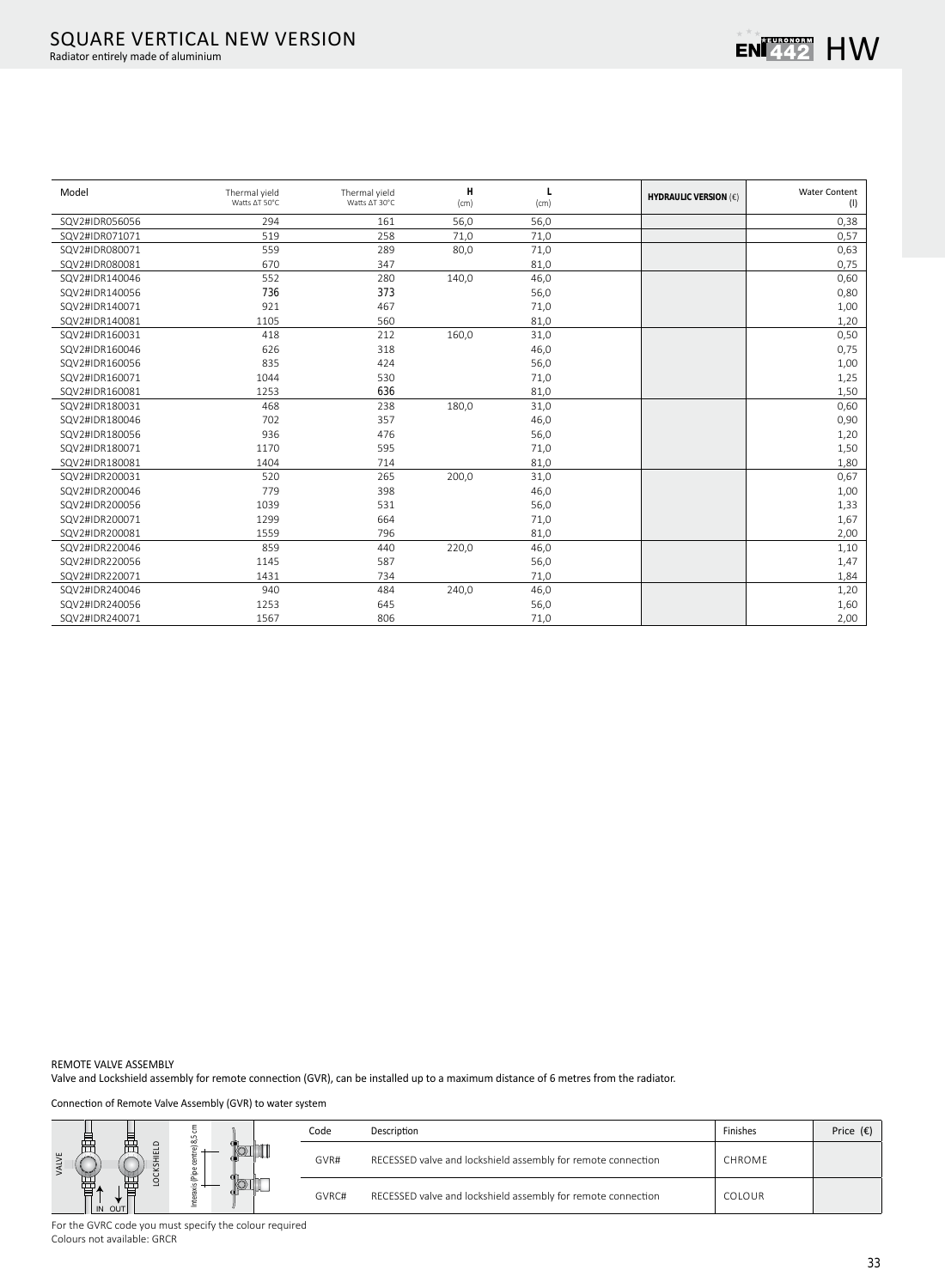

| Model          | Thermal yield<br>Watts AT 50°C | Thermal yield<br>Watts ∆T 30°C | H<br>(cm) | (cm) | <b>HYDRAULIC VERSION (€)</b> | <b>Water Content</b><br>(1) |
|----------------|--------------------------------|--------------------------------|-----------|------|------------------------------|-----------------------------|
| SQV2#IDR056056 | 294                            | 161                            | 56,0      | 56,0 |                              | 0,38                        |
| SQV2#IDR071071 | 519                            | 258                            | 71,0      | 71,0 |                              | 0,57                        |
| SQV2#IDR080071 | 559                            | 289                            | 80,0      | 71,0 |                              | 0,63                        |
| SQV2#IDR080081 | 670                            | 347                            |           | 81,0 |                              | 0,75                        |
| SQV2#IDR140046 | 552                            | 280                            | 140,0     | 46,0 |                              | 0,60                        |
| SQV2#IDR140056 | 736                            | 373                            |           | 56,0 |                              | 0,80                        |
| SQV2#IDR140071 | 921                            | 467                            |           | 71,0 |                              | 1,00                        |
| SQV2#IDR140081 | 1105                           | 560                            |           | 81,0 |                              | 1,20                        |
| SQV2#IDR160031 | 418                            | 212                            | 160,0     | 31,0 |                              | 0,50                        |
| SQV2#IDR160046 | 626                            | 318                            |           | 46,0 |                              | 0,75                        |
| SQV2#IDR160056 | 835                            | 424                            |           | 56,0 |                              | 1,00                        |
| SQV2#IDR160071 | 1044                           | 530                            |           | 71,0 |                              | 1,25                        |
| SQV2#IDR160081 | 1253                           | 636                            |           | 81,0 |                              | 1,50                        |
| SQV2#IDR180031 | 468                            | 238                            | 180,0     | 31,0 |                              | 0,60                        |
| SQV2#IDR180046 | 702                            | 357                            |           | 46,0 |                              | 0,90                        |
| SQV2#IDR180056 | 936                            | 476                            |           | 56,0 |                              | 1,20                        |
| SQV2#IDR180071 | 1170                           | 595                            |           | 71,0 |                              | 1,50                        |
| SQV2#IDR180081 | 1404                           | 714                            |           | 81,0 |                              | 1,80                        |
| SQV2#IDR200031 | 520                            | 265                            | 200,0     | 31,0 |                              | 0,67                        |
| SQV2#IDR200046 | 779                            | 398                            |           | 46,0 |                              | 1,00                        |
| SQV2#IDR200056 | 1039                           | 531                            |           | 56,0 |                              | 1,33                        |
| SQV2#IDR200071 | 1299                           | 664                            |           | 71,0 |                              | 1,67                        |
| SQV2#IDR200081 | 1559                           | 796                            |           | 81,0 |                              | 2,00                        |
| SQV2#IDR220046 | 859                            | 440                            | 220,0     | 46,0 |                              | 1,10                        |
| SQV2#IDR220056 | 1145                           | 587                            |           | 56,0 |                              | 1,47                        |
| SQV2#IDR220071 | 1431                           | 734                            |           | 71,0 |                              | 1,84                        |
| SQV2#IDR240046 | 940                            | 484                            | 240,0     | 46,0 |                              | 1,20                        |
| SQV2#IDR240056 | 1253                           | 645                            |           | 56,0 |                              | 1,60                        |
| SQV2#IDR240071 | 1567                           | 806                            |           | 71,0 |                              | 2,00                        |

REMOTE VALVE ASSEMBLY

Valve and Lockshield assembly for remote connection (GVR), can be installed up to a maximum distance of 6 metres from the radiator.

Connection of Remote Valve Assembly (GVR) to water system

|                             |   | Code  | Description                                                  | Finishes      | Price $(\epsilon)$ |
|-----------------------------|---|-------|--------------------------------------------------------------|---------------|--------------------|
| $\circ$<br>급<br>ய<br>$\geq$ |   | GVR#  | RECESSED valve and lockshield assembly for remote connection | CHROME        |                    |
| OUT                         | உ | GVRC# | RECESSED valve and lockshield assembly for remote connection | <b>COLOUR</b> |                    |

For the GVRC code you must specify the colour required Colours not available: GRCR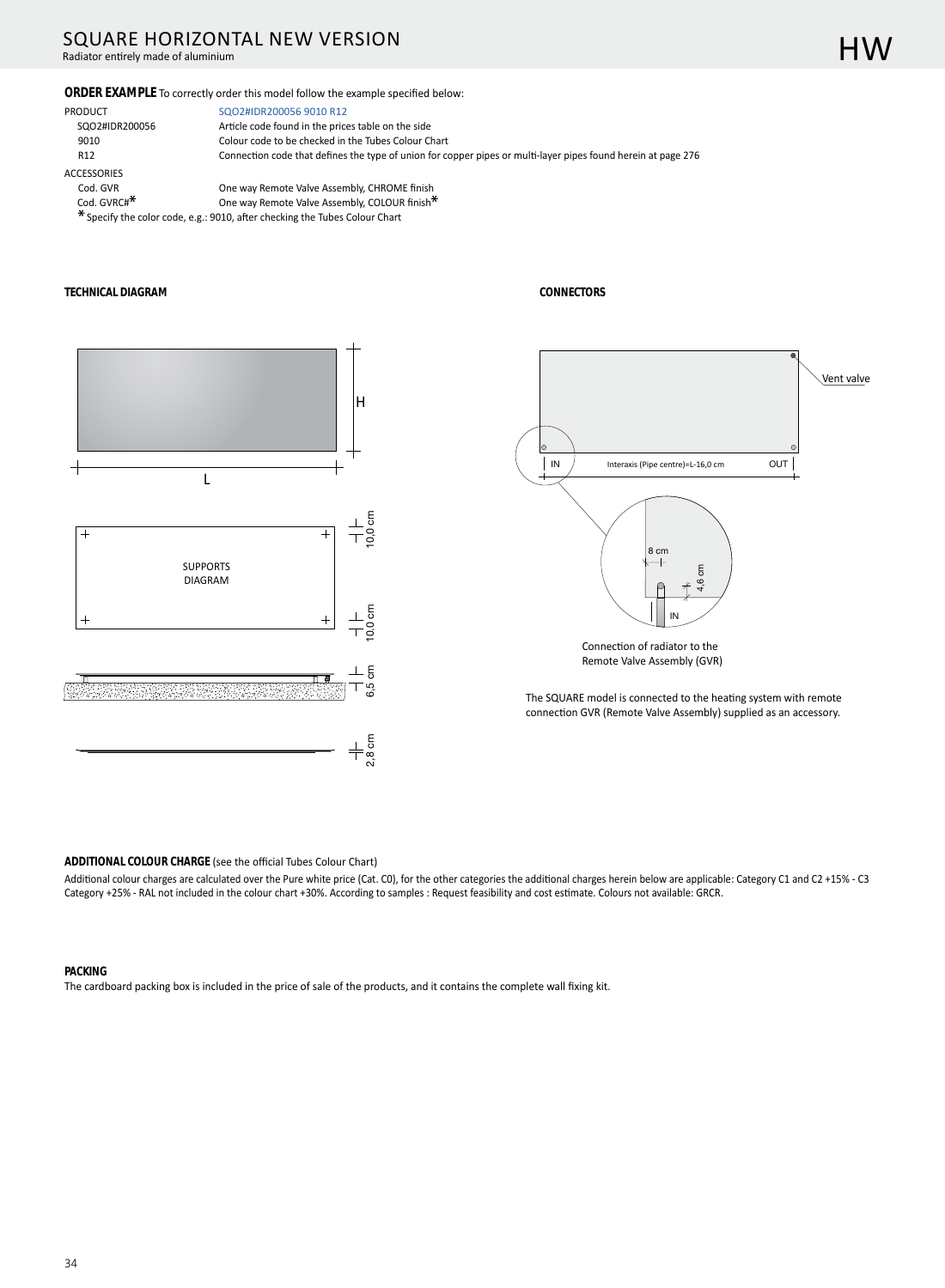# SQUARE HORIZONTAL NEW VERSION

Radiator entirely made of aluminium

#### ORDER EXAMPLE To correctly order this model follow the example specified below:

| PRODUCT                 | SQO2#IDR200056 9010 R12                                                                                   |
|-------------------------|-----------------------------------------------------------------------------------------------------------|
| SQO2#IDR200056          | Article code found in the prices table on the side                                                        |
| 9010                    | Colour code to be checked in the Tubes Colour Chart                                                       |
| R <sub>12</sub>         | Connection code that defines the type of union for copper pipes or multi-layer pipes found herein at page |
| <b>ACCESSORIES</b>      |                                                                                                           |
| Cod. GVR                | One way Remote Valve Assembly, CHROME finish                                                              |
| Cod. GVRC# <sup>*</sup> | One way Remote Valve Assembly, COLOUR finish <sup>*</sup>                                                 |

\* Specify the color code, e.g.: 9010, after checking the Tubes Colour Chart

#### **TECHNICAL DIAGRAM**



**CONNECTORS** 



276

The SQUARE model is connected to the heating system with remote connection GVR (Remote Valve Assembly) supplied as an accessory.

ADDITIONAL COLOUR CHARGE (see the official Tubes Colour Chart)

Additional colour charges are calculated over the Pure white price (Cat. C0), for the other categories the additional charges herein below are applicable: Category C1 and C2 +15% - C3 Category +25% - RAL not included in the colour chart +30%. According to samples : Request feasibility and cost estimate. Colours not available: GRCR.

#### **PACKING**

The cardboard packing box is included in the price of sale of the products, and it contains the complete wall fixing kit.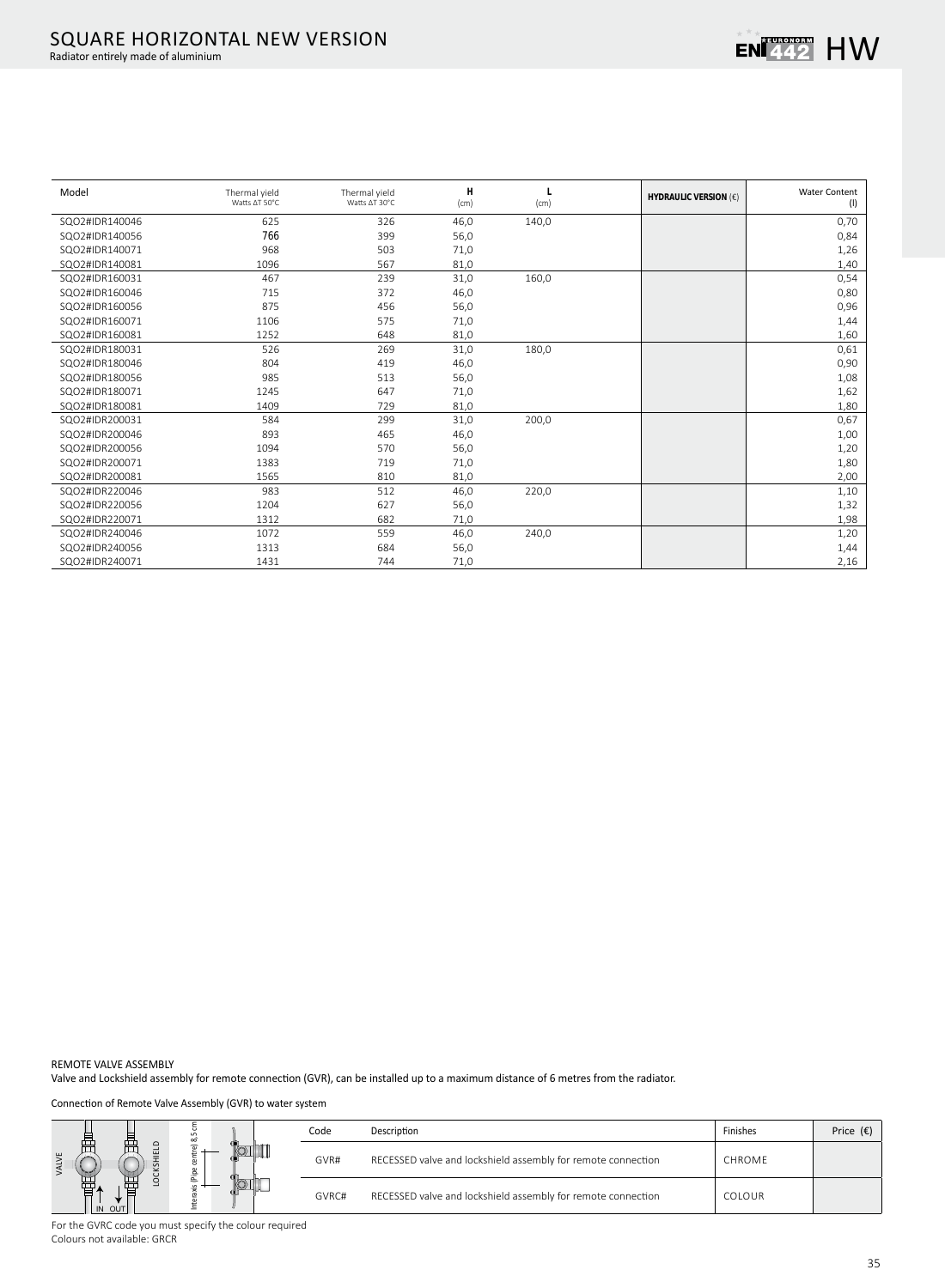| Model          | Thermal yield<br>Watts AT 50°C | Thermal yield<br>Watts ∆T 30°C | Н<br>(cm) | (cm)  | <b>HYDRAULIC VERSION (€)</b> | <b>Water Content</b><br>(1) |
|----------------|--------------------------------|--------------------------------|-----------|-------|------------------------------|-----------------------------|
| SQO2#IDR140046 | 625                            | 326                            | 46,0      | 140,0 |                              | 0,70                        |
| SQO2#IDR140056 | 766                            | 399                            | 56,0      |       |                              | 0,84                        |
| SQO2#IDR140071 | 968                            | 503                            | 71,0      |       |                              | 1,26                        |
| SQO2#IDR140081 | 1096                           | 567                            | 81,0      |       |                              | 1,40                        |
| SQO2#IDR160031 | 467                            | 239                            | 31,0      | 160,0 |                              | 0,54                        |
| SQO2#IDR160046 | 715                            | 372                            | 46,0      |       |                              | 0,80                        |
| SQO2#IDR160056 | 875                            | 456                            | 56,0      |       |                              | 0,96                        |
| SQO2#IDR160071 | 1106                           | 575                            | 71,0      |       |                              | 1,44                        |
| SQO2#IDR160081 | 1252                           | 648                            | 81,0      |       |                              | 1,60                        |
| SQO2#IDR180031 | 526                            | 269                            | 31,0      | 180,0 |                              | 0,61                        |
| SQO2#IDR180046 | 804                            | 419                            | 46,0      |       |                              | 0,90                        |
| SQO2#IDR180056 | 985                            | 513                            | 56,0      |       |                              | 1,08                        |
| SQO2#IDR180071 | 1245                           | 647                            | 71,0      |       |                              | 1,62                        |
| SQO2#IDR180081 | 1409                           | 729                            | 81,0      |       |                              | 1,80                        |
| SQO2#IDR200031 | 584                            | 299                            | 31,0      | 200,0 |                              | 0,67                        |
| SQO2#IDR200046 | 893                            | 465                            | 46,0      |       |                              | 1,00                        |
| SQO2#IDR200056 | 1094                           | 570                            | 56,0      |       |                              | 1,20                        |
| SQO2#IDR200071 | 1383                           | 719                            | 71,0      |       |                              | 1,80                        |
| SQO2#IDR200081 | 1565                           | 810                            | 81,0      |       |                              | 2,00                        |
| SQO2#IDR220046 | 983                            | 512                            | 46,0      | 220,0 |                              | 1,10                        |
| SQO2#IDR220056 | 1204                           | 627                            | 56,0      |       |                              | 1,32                        |
| SQO2#IDR220071 | 1312                           | 682                            | 71,0      |       |                              | 1,98                        |
| SQO2#IDR240046 | 1072                           | 559                            | 46,0      | 240,0 |                              | 1,20                        |
| SQO2#IDR240056 | 1313                           | 684                            | 56,0      |       |                              | 1,44                        |
| SQO2#IDR240071 | 1431                           | 744                            | 71,0      |       |                              | 2,16                        |

REMOTE VALVE ASSEMBLY

Valve and Lockshield assembly for remote connection (GVR), can be installed up to a maximum distance of 6 metres from the radiator.

Connection of Remote Valve Assembly (GVR) to water system

|                   | $\infty$ | Code  | Description                                                  | Finishes      | Price $(E)$ |
|-------------------|----------|-------|--------------------------------------------------------------|---------------|-------------|
| 罡<br>$\mathbf{u}$ | ন<br>운   | GVR#  | RECESSED valve and lockshield assembly for remote connection | CHROME        |             |
| 臣<br><b>OUT</b>   |          | GVRC# | RECESSED valve and lockshield assembly for remote connection | <b>COLOUR</b> |             |

For the GVRC code you must specify the colour required Colours not available: GRCR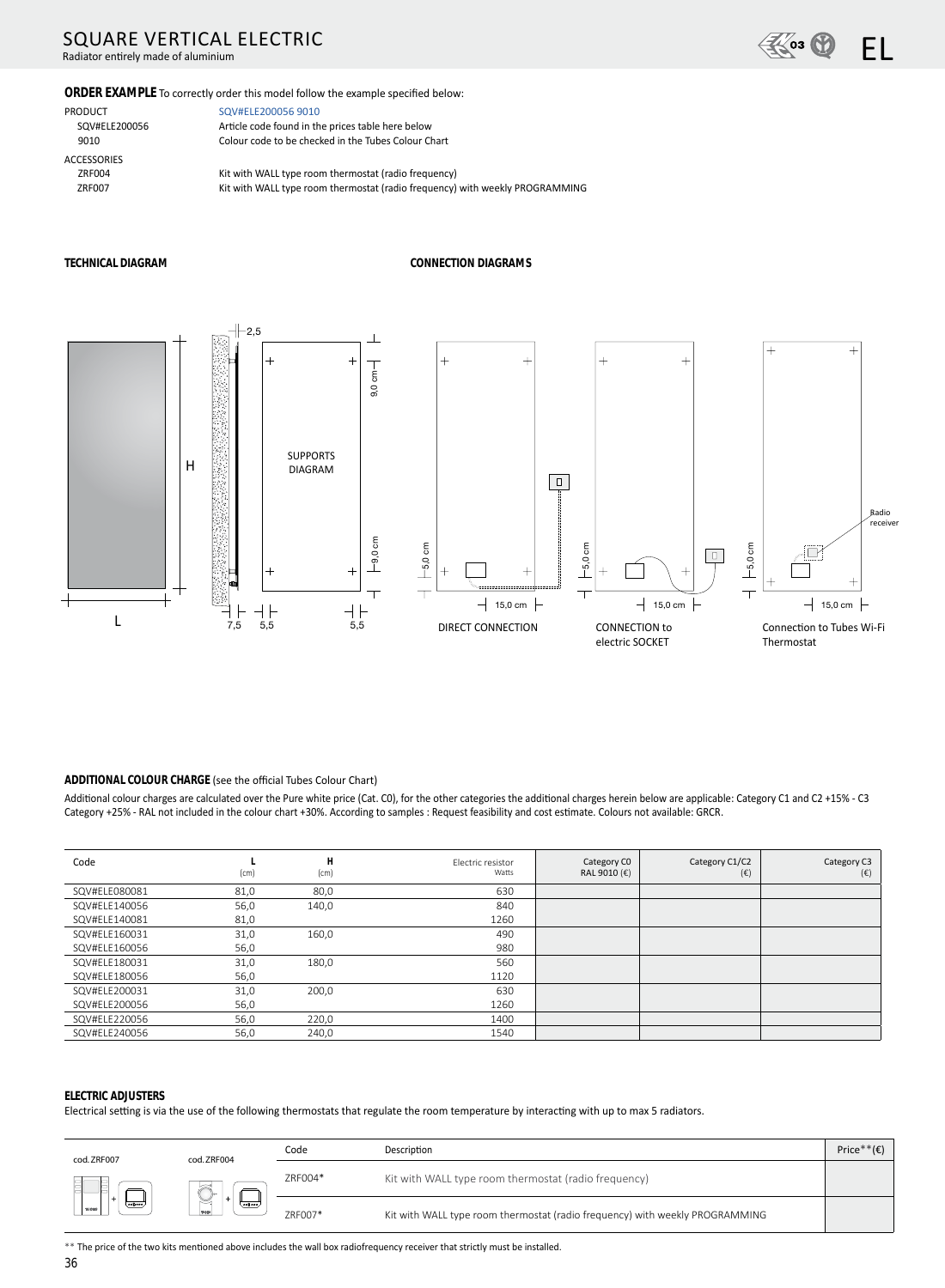# **SQUARE VERTICAL ELECTRIC**

Radiator entirely made of aluminium



ORDER EXAMPLE To correctly order this model follow the example specified below:

PRODUCT SQV#ELE200056 9010 **ACCESSORIES** ZRF004 ZRF007

SQV#ELE200056 9010 Article code found in the prices table here below Colour code to be checked in the Tubes Colour Chart

Kit with WALL type room thermostat (radio frequency) Kit with WALL type room thermostat (radio frequency) with weekly PROGRAMMING

#### TECHNICAL DIAGRAM

#### **CONNECTION DIAGRAMS**



#### ADDITIONAL COLOUR CHARGE (see the official Tubes Colour Chart)

Additional colour charges are calculated over the Pure white price (Cat. C0), for the other categories the additional charges herein below are applicable: Category C1 and C2 +15% - C3 Category +25% - RAL not included in the colour chart +30%. According to samples : Request feasibility and cost estimate. Colours not available: GRCR.

| Code          | (cm) | H<br>(cm) | Electric resistor<br>Watts | Category CO<br>RAL 9010 (€) | Category C1/C2<br>$(\epsilon)$ | Category C3<br>$(\epsilon)$ |
|---------------|------|-----------|----------------------------|-----------------------------|--------------------------------|-----------------------------|
| SQV#ELE080081 | 81,0 | 80,0      | 630                        |                             |                                |                             |
| SQV#ELE140056 | 56,0 | 140,0     | 840                        |                             |                                |                             |
| SQV#ELE140081 | 81,0 |           | 1260                       |                             |                                |                             |
| SQV#ELE160031 | 31,0 | 160,0     | 490                        |                             |                                |                             |
| SQV#ELE160056 | 56,0 |           | 980                        |                             |                                |                             |
| SQV#ELE180031 | 31,0 | 180,0     | 560                        |                             |                                |                             |
| SQV#ELE180056 | 56,0 |           | 1120                       |                             |                                |                             |
| SQV#ELE200031 | 31,0 | 200,0     | 630                        |                             |                                |                             |
| SQV#ELE200056 | 56,0 |           | 1260                       |                             |                                |                             |
| SQV#ELE220056 | 56,0 | 220,0     | 1400                       |                             |                                |                             |
| SQV#ELE240056 | 56,0 | 240,0     | 1540                       |                             |                                |                             |

#### **ELECTRIC ADJUSTERS**

Electrical setting is via the use of the following thermostats that regulate the room temperature by interacting with up to max 5 radiators.

| cod. ZRF007       | cod. ZRF004                   | Code    | Description                                                                  | Price <sup>*</sup> |
|-------------------|-------------------------------|---------|------------------------------------------------------------------------------|--------------------|
|                   | $\approx$<br>1 <sub>low</sub> | ZRF004* | Kit with WALL type room thermostat (radio frequency)                         |                    |
| $\omega$<br>TUDES | ≍<br>(دەدۋەە)                 | ZRF007* | Kit with WALL type room thermostat (radio frequency) with weekly PROGRAMMING |                    |

\*\* The price of the two kits mentioned above includes the wall box radiofrequency receiver that strictly must be installed.

36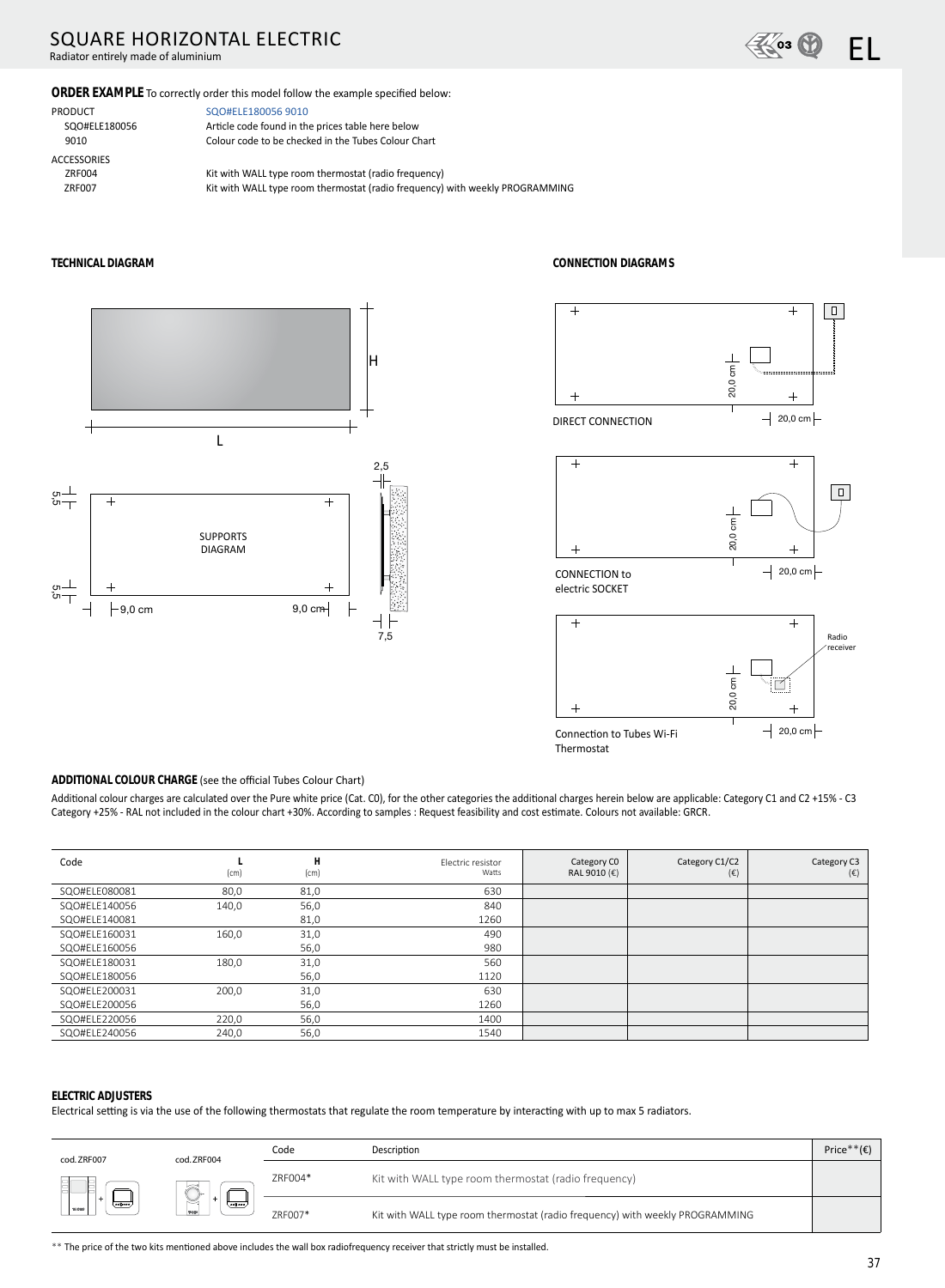# SQUARE HORIZONTAL ELECTRIC

Radiator entirely made of aluminium



#### ORDER EXAMPLE To correctly order this model follow the example specified below:

ACCESSORIES<br>ZRF004

PRODUCT SQO#ELE180056 9010 SQO#ELE180056 Article code found in the prices table here below 9010 Colour code to be checked in the Tubes Colour Chart

ZRF004 Kit with WALL type room thermostat (radio frequency)<br>ZRF007 Kit with WALL type room thermostat (radio frequency) Kit with WALL type room thermostat (radio frequency) with weekly PROGRAMMING



**TECHNICAL DIAGRAM CONNECTION DIAGRAMS** 







#### **ADDITIONAL COLOUR CHARGE** (see the official Tubes Colour Chart)

Additional colour charges are calculated over the Pure white price (Cat. C0), for the other categories the additional charges herein below are applicable: Category C1 and C2 +15% - C3 Category +25% - RAL not included in the colour chart +30%. According to samples : Request feasibility and cost estimate. Colours not available: GRCR.

| Code          | (cm)  | H<br>(cm) | Electric resistor<br>Watts | Category CO<br>RAL 9010 (€) | Category C1/C2<br>$(\epsilon)$ | Category C3<br>$(\epsilon)$ |
|---------------|-------|-----------|----------------------------|-----------------------------|--------------------------------|-----------------------------|
| SQO#ELE080081 | 80,0  | 81,0      | 630                        |                             |                                |                             |
| SQO#ELE140056 | 140,0 | 56,0      | 840                        |                             |                                |                             |
| SQO#ELE140081 |       | 81,0      | 1260                       |                             |                                |                             |
| SQO#ELE160031 | 160,0 | 31,0      | 490                        |                             |                                |                             |
| SQO#ELE160056 |       | 56,0      | 980                        |                             |                                |                             |
| SQO#ELE180031 | 180,0 | 31,0      | 560                        |                             |                                |                             |
| SQO#ELE180056 |       | 56,0      | 1120                       |                             |                                |                             |
| SQO#ELE200031 | 200,0 | 31,0      | 630                        |                             |                                |                             |
| SQO#ELE200056 |       | 56,0      | 1260                       |                             |                                |                             |
| SQO#ELE220056 | 220,0 | 56,0      | 1400                       |                             |                                |                             |
| SQO#ELE240056 | 240,0 | 56,0      | 1540                       |                             |                                |                             |

#### **ELECTRIC ADJUSTERS**

Electrical setting is via the use of the following thermostats that regulate the room temperature by interacting with up to max 5 radiators.

| cod. ZRF007               | cod. ZRF004     | Code    | Description                                                                  | <b>Price</b> |
|---------------------------|-----------------|---------|------------------------------------------------------------------------------|--------------|
|                           | '≍<br>llo       | ZRF004* | Kit with WALL type room thermostat (radio frequency)                         |              |
| Loog over<br><b>TUBES</b> | S<br>$($ eegees | ZRF007* | Kit with WALL type room thermostat (radio frequency) with weekly PROGRAMMING |              |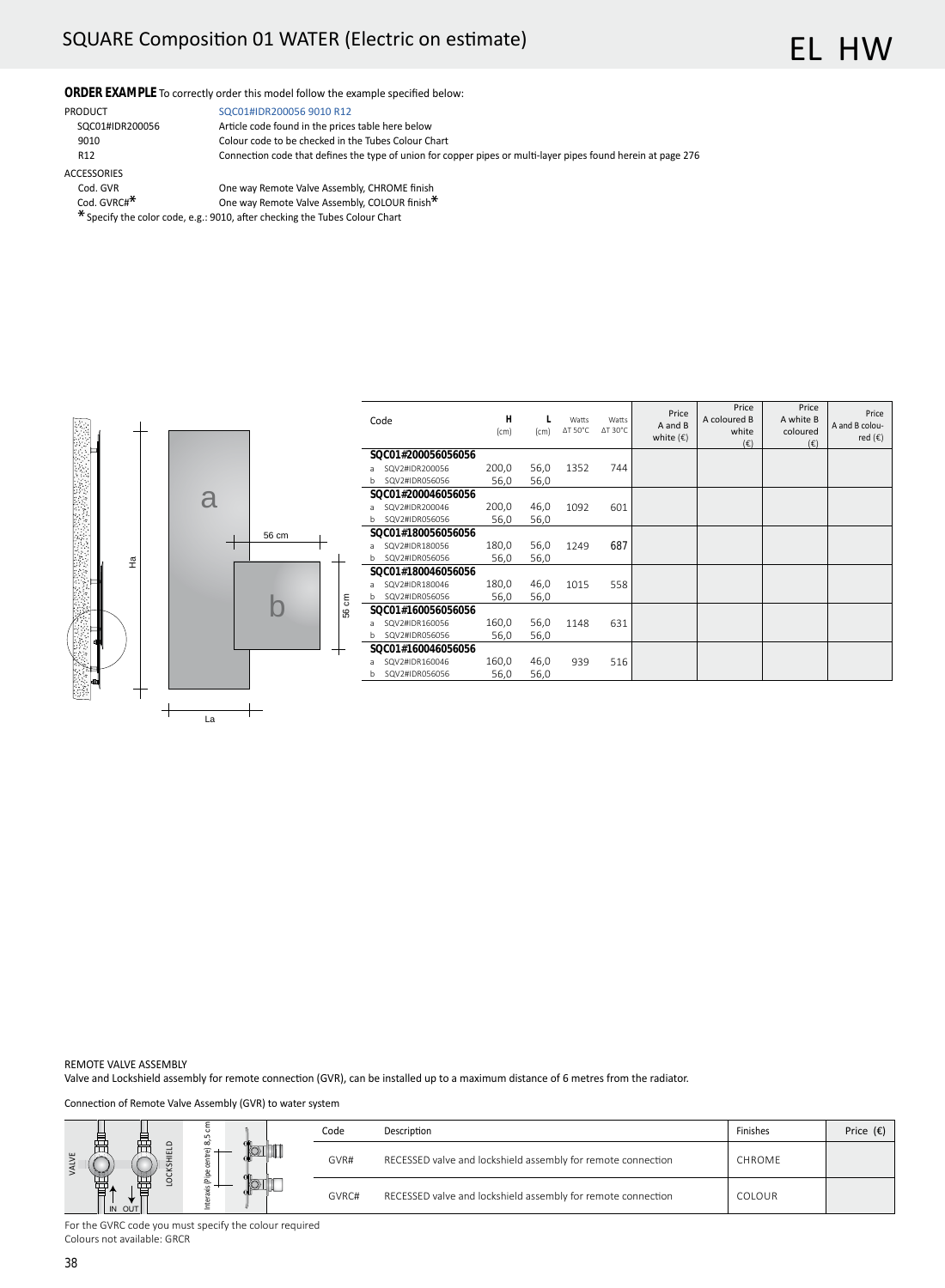# SQUARE Composition 01 WATER (Electric on estimate)

### ORDER EXAMPLE To correctly order this model follow the example specified below:

ACCESSORIES<br>Cod. GVR

PRODUCT SQC01#IDR200056 9010 R12 SQC01#IDR200056 Article code found in the prices table here below 9010 Colour code to be checked in the Tubes Colour Chart<br>R12 Connection code that defines the type of union for co Connection code that defines the type of union for copper pipes or multi-layer pipes found herein at page 276

- Cod. GVR COD COD COURCE CODE WAS CONSIDENT CODENTIAL COLOUR FINISH TO COLOUR FINISH TO DETROY ONE WAS CONSIDENT ON MANUSCONDUCT ON MANUSCONDUCT ON MANUSCONDUCT ON MANUSCONDUCT ON MANUSCONDUCT ON MANUSCONDUCT ON MANUSCONDUC
- One way Remote Valve Assembly, COLOUR finish<sup>\*</sup>
- \* Specify the color code, e.g.: 9010, after checking the Tubes Colour Chart



|    | Code               | H<br>(cm) | (cm) | Watts<br>$\Delta T$ 50°C | Watts<br>$\Delta$ T 30°C | Price<br>A and B<br>white $(\epsilon)$ | Price<br>A coloured B<br>white<br>$(\epsilon)$ | Price<br>A white B<br>coloured<br>$(\epsilon)$ | Price<br>A and B colou-<br>red $(\epsilon)$ |
|----|--------------------|-----------|------|--------------------------|--------------------------|----------------------------------------|------------------------------------------------|------------------------------------------------|---------------------------------------------|
|    | SOC01#200056056056 |           |      |                          |                          |                                        |                                                |                                                |                                             |
| a  | SQV2#IDR200056     | 200,0     | 56,0 | 1352                     | 744                      |                                        |                                                |                                                |                                             |
| b. | SQV2#IDR056056     | 56,0      | 56,0 |                          |                          |                                        |                                                |                                                |                                             |
|    | SOC01#200046056056 |           |      |                          |                          |                                        |                                                |                                                |                                             |
| a  | SQV2#IDR200046     | 200,0     | 46,0 | 1092                     | 601                      |                                        |                                                |                                                |                                             |
| b. | SQV2#IDR056056     | 56,0      | 56,0 |                          |                          |                                        |                                                |                                                |                                             |
|    | SOC01#180056056056 |           |      |                          |                          |                                        |                                                |                                                |                                             |
| a  | SQV2#IDR180056     | 180,0     | 56,0 | 1249                     | 687                      |                                        |                                                |                                                |                                             |
| b. | SQV2#IDR056056     | 56,0      | 56,0 |                          |                          |                                        |                                                |                                                |                                             |
|    | SOC01#180046056056 |           |      |                          |                          |                                        |                                                |                                                |                                             |
| a  | SQV2#IDR180046     | 180,0     | 46,0 | 1015                     | 558                      |                                        |                                                |                                                |                                             |
| b. | SQV2#IDR056056     | 56,0      | 56,0 |                          |                          |                                        |                                                |                                                |                                             |
|    | SOC01#160056056056 |           |      |                          |                          |                                        |                                                |                                                |                                             |
| a  | SQV2#IDR160056     | 160,0     | 56,0 | 1148                     | 631                      |                                        |                                                |                                                |                                             |
| b. | SQV2#IDR056056     | 56,0      | 56,0 |                          |                          |                                        |                                                |                                                |                                             |
|    | SOC01#160046056056 |           |      |                          |                          |                                        |                                                |                                                |                                             |
| a  | SQV2#IDR160046     | 160,0     | 46,0 | 939                      | 516                      |                                        |                                                |                                                |                                             |
| b  | SQV2#IDR056056     | 56,0      | 56,0 |                          |                          |                                        |                                                |                                                |                                             |

REMOTE VALVE ASSEMBLY

Valve and Lockshield assembly for remote connection (GVR), can be installed up to a maximum distance of 6 metres from the radiator.

Connection of Remote Valve Assembly (GVR) to water system

|              |        | m.                       | Code  | Description                                                  | Finishes | Price $(\epsilon)$ |
|--------------|--------|--------------------------|-------|--------------------------------------------------------------|----------|--------------------|
| $\mathbf{u}$ |        | $\overline{\phantom{a}}$ | GVR#  | RECESSED valve and lockshield assembly for remote connection | CHROME   |                    |
|              | IN OUT | È                        | GVRC# | RECESSED valve and lockshield assembly for remote connection | COLOUR   |                    |

For the GVRC code you must specify the colour required Colours not available: GRCR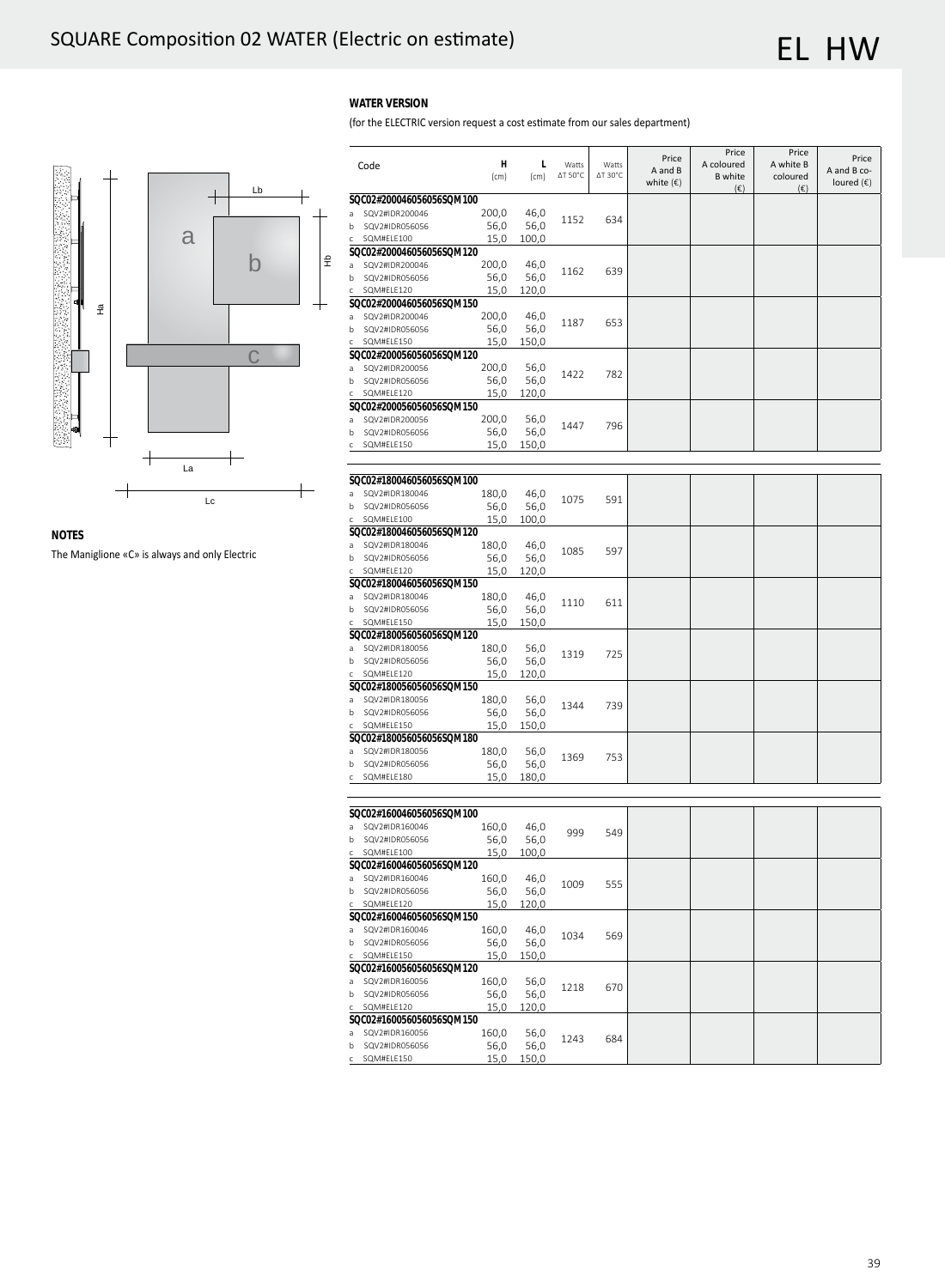### **WATER VERSION**

(for the ELECTRIC version request a cost estimate from our sales department)



**NOTES**

The Maniglione «C» is always and only Electric

|              | Code                     | н<br>(cm) | L<br>(cm) | Watts<br>ΔT 50°C | Watts<br>ΔT 30°C | Price<br>A and B<br>white $(\epsilon)$ | Price<br>A coloured<br><b>B</b> white<br>$(\epsilon)$ | Price<br>A white B<br>coloured<br>$(\epsilon)$ | Price<br>A and B co-<br>loured $(\epsilon)$ |
|--------------|--------------------------|-----------|-----------|------------------|------------------|----------------------------------------|-------------------------------------------------------|------------------------------------------------|---------------------------------------------|
|              | SQC02#200046056056SQM100 |           |           |                  |                  |                                        |                                                       |                                                |                                             |
| a            | SQV2#IDR200046           | 200,0     | 46,0      |                  |                  |                                        |                                                       |                                                |                                             |
| b            | SQV2#IDR056056           | 56,0      | 56,0      | 1152             | 634              |                                        |                                                       |                                                |                                             |
| c            | SQM#ELE100               | 15,0      | 100,0     |                  |                  |                                        |                                                       |                                                |                                             |
|              | SQC02#200046056056SQM120 |           |           |                  |                  |                                        |                                                       |                                                |                                             |
| a            | SQV2#IDR200046           | 200,0     | 46,0      |                  |                  |                                        |                                                       |                                                |                                             |
| b            | SQV2#IDR056056           | 56,0      | 56,0      | 1162             | 639              |                                        |                                                       |                                                |                                             |
|              | SQM#ELE120               | 15,0      | 120,0     |                  |                  |                                        |                                                       |                                                |                                             |
|              | SQC02#200046056056SQM150 |           |           |                  |                  |                                        |                                                       |                                                |                                             |
| a            | SQV2#IDR200046           | 200,0     | 46,0      |                  |                  |                                        |                                                       |                                                |                                             |
| b            | SQV2#IDR056056           | 56,0      | 56,0      | 1187             | 653              |                                        |                                                       |                                                |                                             |
| c            | SQM#ELE150               | 15,0      | 150,0     |                  |                  |                                        |                                                       |                                                |                                             |
|              | SQC02#200056056056SQM120 |           |           |                  |                  |                                        |                                                       |                                                |                                             |
| a            | SQV2#IDR200056           | 200,0     | 56,0      |                  |                  |                                        |                                                       |                                                |                                             |
| b            | SQV2#IDR056056           | 56,0      | 56,0      | 1422             | 782              |                                        |                                                       |                                                |                                             |
| c            | SQM#ELE120               | 15,0      | 120,0     |                  |                  |                                        |                                                       |                                                |                                             |
|              | SQC02#200056056056SQM150 |           |           |                  |                  |                                        |                                                       |                                                |                                             |
| a            | SQV2#IDR200056           | 200,0     | 56,0      |                  |                  |                                        |                                                       |                                                |                                             |
| b            | SQV2#IDR056056           | 56,0      | 56,0      | 1447             | 796              |                                        |                                                       |                                                |                                             |
| Ċ            | SQM#ELE150               | 15,0      | 150,0     |                  |                  |                                        |                                                       |                                                |                                             |
|              |                          |           |           |                  |                  |                                        |                                                       |                                                |                                             |
|              |                          |           |           |                  |                  |                                        |                                                       |                                                |                                             |
|              | SQC02#180046056056SQM100 |           |           |                  |                  |                                        |                                                       |                                                |                                             |
| a            | SQV2#IDR180046           | 180,0     | 46,0      |                  |                  |                                        |                                                       |                                                |                                             |
| b            | SQV2#IDR056056           | 56,0      | 56,0      | 1075             | 591              |                                        |                                                       |                                                |                                             |
| c            | SQM#ELE100               | 15,0      | 100,0     |                  |                  |                                        |                                                       |                                                |                                             |
|              | SQC02#180046056056SQM120 |           |           |                  |                  |                                        |                                                       |                                                |                                             |
| a            | SQV2#IDR180046           | 180,0     | 46,0      |                  |                  |                                        |                                                       |                                                |                                             |
| b            | SQV2#IDR056056           | 56,0      | 56,0      | 1085             | 597              |                                        |                                                       |                                                |                                             |
| c            | SQM#ELE120               | 15,0      | 120,0     |                  |                  |                                        |                                                       |                                                |                                             |
|              | SQC02#180046056056SQM150 |           |           |                  |                  |                                        |                                                       |                                                |                                             |
|              | SQV2#IDR180046           | 180,0     | 46,0      |                  |                  |                                        |                                                       |                                                |                                             |
| a            |                          |           |           | 1110             | 611              |                                        |                                                       |                                                |                                             |
| b            | SQV2#IDR056056           | 56,0      | 56,0      |                  |                  |                                        |                                                       |                                                |                                             |
| c            | SQM#ELE150               | 15,0      | 150,0     |                  |                  |                                        |                                                       |                                                |                                             |
|              | SQC02#180056056056SQM120 |           |           |                  |                  |                                        |                                                       |                                                |                                             |
| a            | SQV2#IDR180056           | 180,0     | 56,0      | 1319             | 725              |                                        |                                                       |                                                |                                             |
| b            | SQV2#IDR056056           | 56,0      | 56,0      |                  |                  |                                        |                                                       |                                                |                                             |
| c            | SQM#ELE120               | 15,0      | 120,0     |                  |                  |                                        |                                                       |                                                |                                             |
|              | SQC02#180056056056SQM150 |           |           |                  |                  |                                        |                                                       |                                                |                                             |
| a            | SQV2#IDR180056           | 180,0     | 56,0      | 1344             | 739              |                                        |                                                       |                                                |                                             |
| b            | SQV2#IDR056056           | 56,0      | 56,0      |                  |                  |                                        |                                                       |                                                |                                             |
| с            | SQM#ELE150               | 15,0      | 150,0     |                  |                  |                                        |                                                       |                                                |                                             |
|              | SQC02#180056056056SQM180 |           |           |                  |                  |                                        |                                                       |                                                |                                             |
| a            | SQV2#IDR180056           | 180,0     | 56,0      | 1369             | 753              |                                        |                                                       |                                                |                                             |
| b            | SQV2#IDR056056           | 56,0      | 56,0      |                  |                  |                                        |                                                       |                                                |                                             |
| c            | SQM#ELE180               | 15,0      | 180,0     |                  |                  |                                        |                                                       |                                                |                                             |
|              |                          |           |           |                  |                  |                                        |                                                       |                                                |                                             |
|              |                          |           |           |                  |                  |                                        |                                                       |                                                |                                             |
|              | SQC02#160046056056SQM100 |           |           |                  |                  |                                        |                                                       |                                                |                                             |
| a            | SQV2#IDR160046           | 160,0     | 46,0      | 999              | 549              |                                        |                                                       |                                                |                                             |
| b            | SQV2#IDR056056           | 56,0      | 56,0      |                  |                  |                                        |                                                       |                                                |                                             |
| c            | SQM#ELE100               | 15,0      | 100,0     |                  |                  |                                        |                                                       |                                                |                                             |
|              | SQC02#160046056056SQM120 |           |           |                  |                  |                                        |                                                       |                                                |                                             |
| a            | SQV2#IDR160046           | 160,0     | 46,0      | 1009             | 555              |                                        |                                                       |                                                |                                             |
| b            | SQV2#IDR056056           | 56,0      | 56,0      |                  |                  |                                        |                                                       |                                                |                                             |
| $\mathsf{C}$ | SQM#ELE120               | 15,0      | 120,0     |                  |                  |                                        |                                                       |                                                |                                             |
|              | SQC02#160046056056SQM150 |           |           |                  |                  |                                        |                                                       |                                                |                                             |
| a            | SQV2#IDR160046           | 160,0     | 46,0      |                  |                  |                                        |                                                       |                                                |                                             |
| b            | SQV2#IDR056056           | 56,0      | 56,0      | 1034             | 569              |                                        |                                                       |                                                |                                             |
|              | c SQM#ELE150             | 15,0      | 150,0     |                  |                  |                                        |                                                       |                                                |                                             |
|              | SQC02#160056056056SQM120 |           |           |                  |                  |                                        |                                                       |                                                |                                             |
| a            | SQV2#IDR160056           | 160,0     | 56,0      |                  |                  |                                        |                                                       |                                                |                                             |
| b            | SQV2#IDR056056           | 56,0      | 56,0      | 1218             | 670              |                                        |                                                       |                                                |                                             |
| c.           | SQM#ELE120               | 15,0      | 120,0     |                  |                  |                                        |                                                       |                                                |                                             |
|              | SQC02#160056056056SQM150 |           |           |                  |                  |                                        |                                                       |                                                |                                             |
| a            | SQV2#IDR160056           | 160,0     | 56,0      |                  |                  |                                        |                                                       |                                                |                                             |
| b            | SQV2#IDR056056           | 56,0      | 56,0      | 1243             | 684              |                                        |                                                       |                                                |                                             |
| $\mathsf{C}$ | SQM#ELE150               | 15,0      | 150,0     |                  |                  |                                        |                                                       |                                                |                                             |
|              |                          |           |           |                  |                  |                                        |                                                       |                                                |                                             |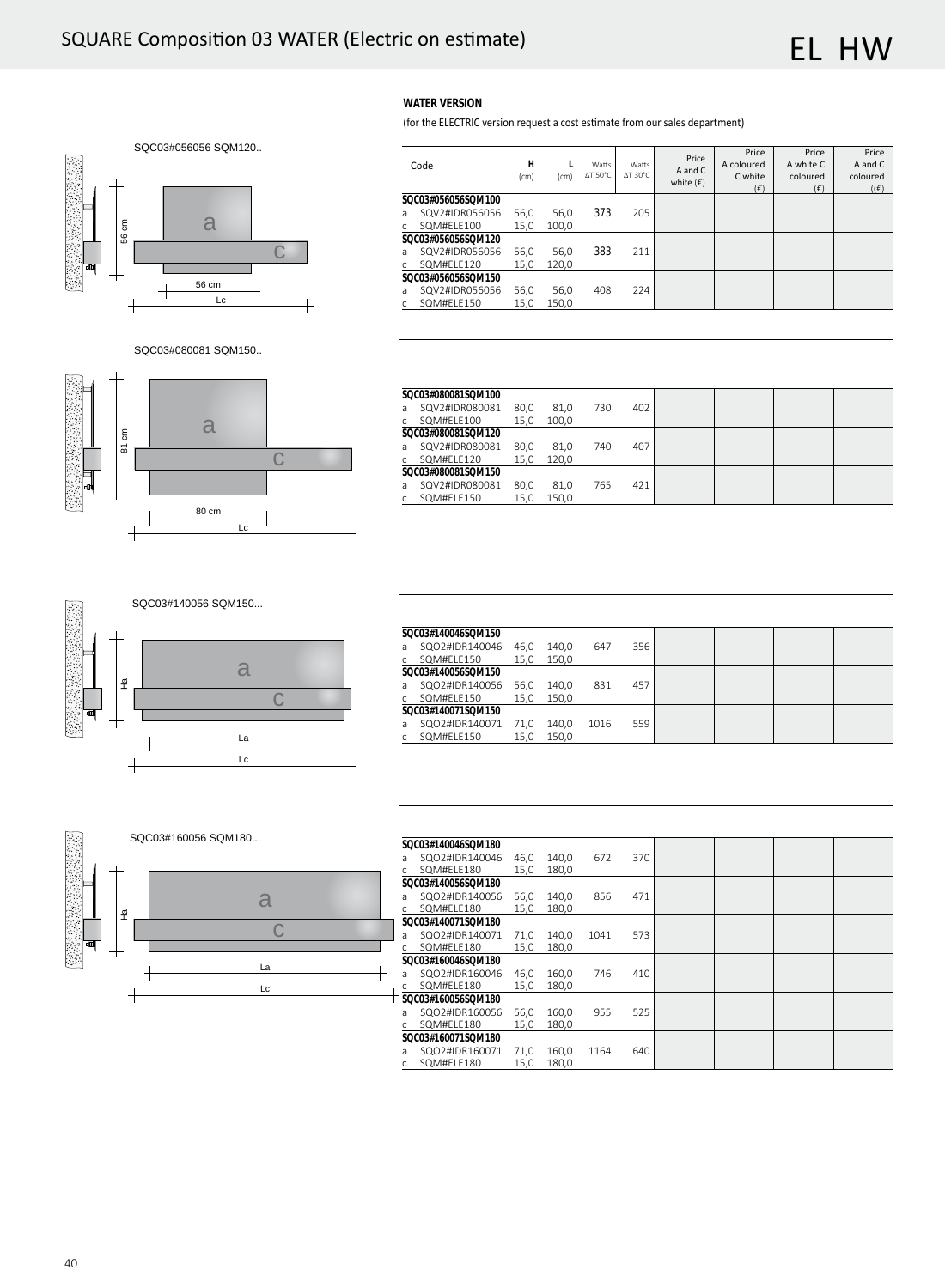**WATER VERSION**

**SQC03#056056SQM100**<br>a SQV2#IDR056056

Code **H**

SQM#ELE120 **SQC03#056056SQM150**<br>a SQV2#IDR056056

c SQM#ELE150

c SQM#ELE100 **SQC03#056056SQM120**<br>a SQV2#IDR056056

Price A and C coloured  $(|\epsilon)$ 

Price A white C coloured  $(\epsilon)$ 



SQC03#080081 SQM150..



|                    | SOC03#080081SOM100 |      |       |     |     |  |  |
|--------------------|--------------------|------|-------|-----|-----|--|--|
| a                  | SQV2#IDR080081     | 80,0 | 81,0  | 730 | 402 |  |  |
| $\mathsf{C}$       | SQM#ELE100         | 15,0 | 100,0 |     |     |  |  |
| SOC03#080081SOM120 |                    |      |       |     |     |  |  |
| a                  | SQV2#IDR080081     | 80.0 | 81,0  | 740 | 407 |  |  |
| C                  | SQM#ELE120         | 15,0 | 120,0 |     |     |  |  |
| SOC03#080081SOM150 |                    |      |       |     |     |  |  |
| a                  | SQV2#IDR080081     | 80,0 | 81,0  | 765 | 421 |  |  |
| C                  | SQM#ELE150         | 15.0 | 150.0 |     |     |  |  |

(for the ELECTRIC version request a cost estimate from our sales department)

**L** (cm)

Watts ΔT 50°C

Watts ΔT 30°C

Price A and C<br>white  $(\epsilon)$ 

**Price** A coloured C white  $(\epsilon)$ 

 $SQV2HIDR056056$  56,0 56,0 373 205<br> $SQMHELE100$  15,0 100,0

(cm)

 $SQV2HIDRO56056$  56,0 56,0 383 211<br> $SQMHELE120$  15,0 120,0

 $SQV2\#IDRO56056$  56,0 56,0 408 224<br> $SQM\#ELE150$  15,0 150,0



| SOC03#140046SOM150 |                    |      |       |      |     |  |  |
|--------------------|--------------------|------|-------|------|-----|--|--|
| a                  | SQO2#IDR140046     | 46.0 | 140.0 | 647  | 356 |  |  |
|                    | SQM#ELE150         | 15.0 | 150.0 |      |     |  |  |
| SOC03#140056SOM150 |                    |      |       |      |     |  |  |
| a                  | SQO2#IDR140056     | 56.0 | 140.0 | 831  | 457 |  |  |
|                    | SQM#ELE150         | 15.0 | 150.0 |      |     |  |  |
|                    | SOC03#140071SOM150 |      |       |      |     |  |  |
| a                  | SQO2#IDR140071     | 71.0 | 140.0 | 1016 | 559 |  |  |
|                    | SQM#ELE150         | 15,0 | 150,0 |      |     |  |  |



| SQC03#140046SQM180 |                    |      |       |      |     |  |  |
|--------------------|--------------------|------|-------|------|-----|--|--|
| a                  | SQO2#IDR140046     | 46.0 | 140,0 | 672  | 370 |  |  |
| $\mathsf{C}$       | SQM#ELE180         | 15.0 | 180.0 |      |     |  |  |
|                    | SOC03#140056SOM180 |      |       |      |     |  |  |
| a                  | SQO2#IDR140056     | 56,0 | 140,0 | 856  | 471 |  |  |
| $\mathsf{C}$       | SQM#ELE180         | 15,0 | 180.0 |      |     |  |  |
| SOC03#140071SOM180 |                    |      |       |      |     |  |  |
| a                  | SQO2#IDR140071     | 71.0 | 140.0 | 1041 | 573 |  |  |
| $\mathsf{C}$       | SQM#ELE180         | 15.0 | 180.0 |      |     |  |  |
| SOC03#160046SOM180 |                    |      |       |      |     |  |  |
| a                  | SQO2#IDR160046     | 46,0 | 160,0 | 746  | 410 |  |  |
| $\mathsf{C}$       | SQM#ELE180         | 15.0 | 180.0 |      |     |  |  |
|                    | SOC03#160056SOM180 |      |       |      |     |  |  |
| a                  | SQO2#IDR160056     | 56.0 | 160,0 | 955  | 525 |  |  |
| $\mathsf{C}$       | SQM#ELE180         | 15,0 | 180,0 |      |     |  |  |
|                    | SOC03#160071SOM180 |      |       |      |     |  |  |
| a                  | SQO2#IDR160071     | 71.0 | 160.0 | 1164 | 640 |  |  |
| C                  | SQM#ELE180         | 15,0 | 180,0 |      |     |  |  |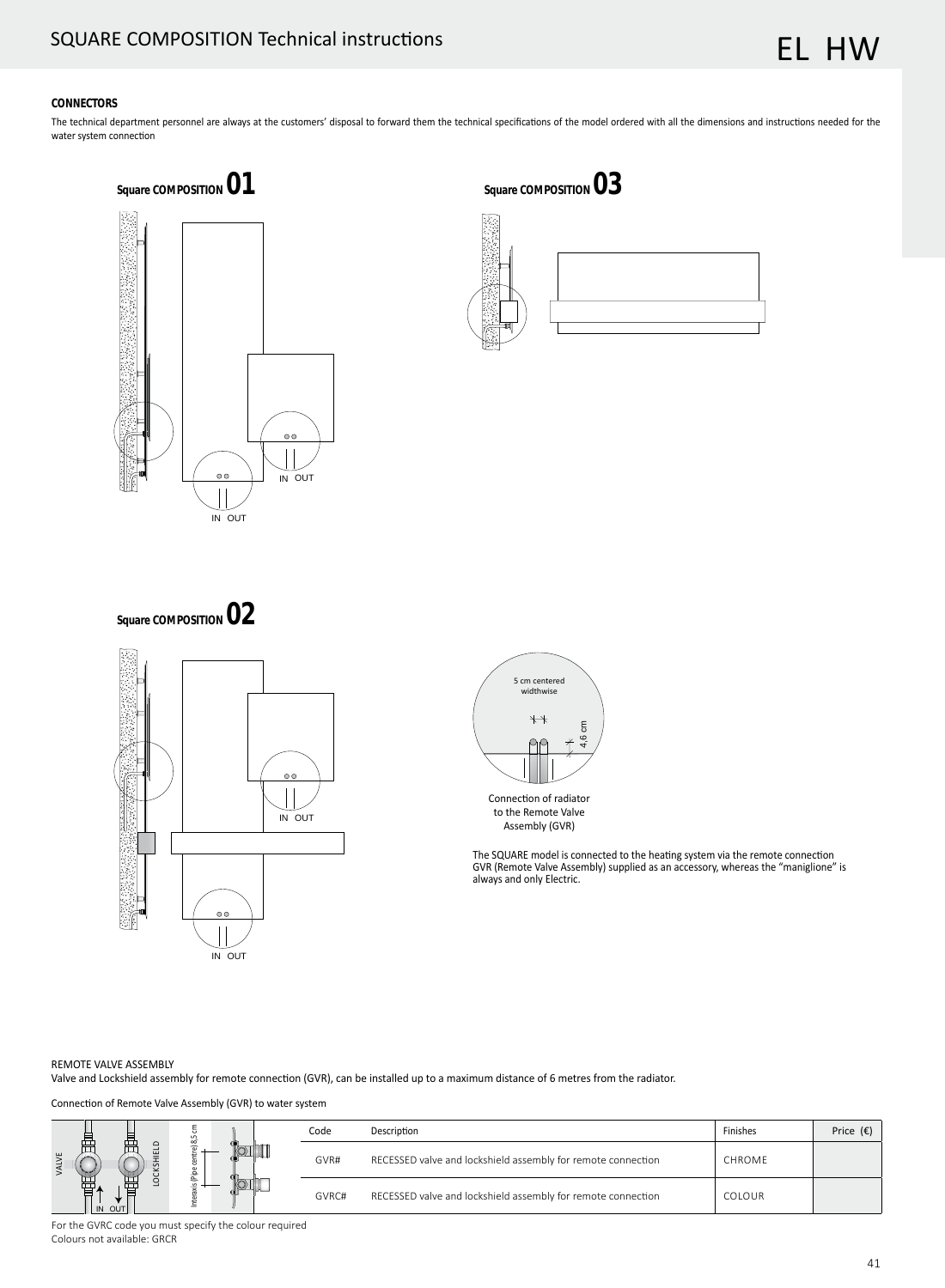#### **CONNECTORS**

The technical department personnel are always at the customers' disposal to forward them the technical specifications of the model ordered with all the dimensions and instructions needed for the water system connection



Square COMPOSITION 03

Square COMPOSITION **02** 





The SQUARE model is connected to the heating system via the remote connection GVR (Remote Valve Assembly) supplied as an accessory, whereas the "maniglione" is always and only Electric.

#### REMOTE VALVE ASSEMBLY

Valve and Lockshield assembly for remote connection (GVR), can be installed up to a maximum distance of 6 metres from the radiator.

Connection of Remote Valve Assembly (GVR) to water system

|                  |               | Code                                                         | Description                                                  | Finishes | Price $(\epsilon)$ |
|------------------|---------------|--------------------------------------------------------------|--------------------------------------------------------------|----------|--------------------|
| ឝ                | $\pi$<br>GVR# | RECESSED valve and lockshield assembly for remote connection | CHROME                                                       |          |                    |
| 畳<br>击<br>IN OUT | ے             | GVRC#                                                        | RECESSED valve and lockshield assembly for remote connection | COLOUR   |                    |

For the GVRC code you must specify the colour required Čolours not available: GRCR